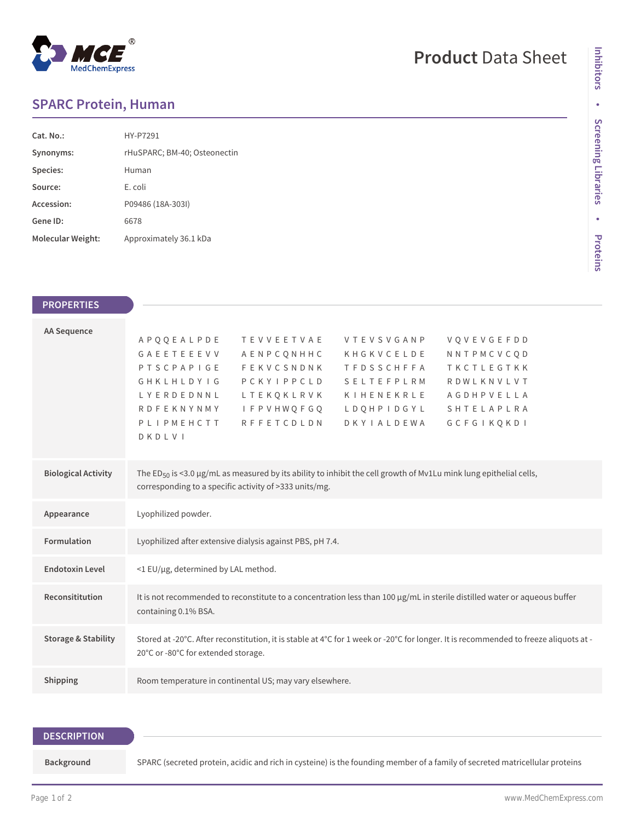# MedChemExpress

# **Product** Data Sheet

## **SPARC Protein, Human**

| Cat. No.          | HY-P7291                     |
|-------------------|------------------------------|
| Synonyms:         | rHuSPARC; BM-40; Osteonectin |
| Species:          | Human                        |
| Source:           | E. coli                      |
| Accession:        | P09486 (18A-303I)            |
| Gene ID:          | 6678                         |
| Molecular Weight: | Approximately 36.1 kDa       |

### **PROPERTIES**

| <b>AA Sequence</b>             |                                                                                                                                      |
|--------------------------------|--------------------------------------------------------------------------------------------------------------------------------------|
|                                | APQQEALPDE<br><b>TEVVEETVAE</b><br>VQVEVGEFDD<br><b>VTEVSVGANP</b>                                                                   |
|                                | GAEETEEEVV<br>NNTPMCVCOD<br>AENPCONHHC<br>KHGKVCELDE                                                                                 |
|                                | FEKVCSNDNK<br>TKCTLEGTKK<br><b>PTSCPAPIGE</b><br><b>TFDSSCHFFA</b>                                                                   |
|                                | GHKLHLDYIG<br>PCKYIPPCLD<br>SELTEFPLRM<br>RDWLKNVLVT                                                                                 |
|                                | LYERDEDNNL<br>LTEKQKLRVK<br>KIHENEKRLE<br>AGDHPVELLA                                                                                 |
|                                | <b>I F P V H W O F G O</b><br><b>RDFEKNYNMY</b><br>L D Q H P I D G Y L<br>SHTELAPLRA                                                 |
|                                | <b>RFFETCDLDN</b><br><b>DKYIALDEWA</b><br>PLIPMEHCTT<br>GCFGIKOKDI                                                                   |
|                                | DKDLVI                                                                                                                               |
|                                |                                                                                                                                      |
| <b>Biological Activity</b>     | The ED <sub>50</sub> is <3.0 µg/mL as measured by its ability to inhibit the cell growth of Mv1Lu mink lung epithelial cells,        |
|                                | corresponding to a specific activity of >333 units/mg.                                                                               |
|                                |                                                                                                                                      |
| Appearance                     | Lyophilized powder.                                                                                                                  |
|                                |                                                                                                                                      |
| Formulation                    | Lyophilized after extensive dialysis against PBS, pH 7.4.                                                                            |
|                                |                                                                                                                                      |
| <b>Endotoxin Level</b>         | <1 EU/µg, determined by LAL method.                                                                                                  |
|                                |                                                                                                                                      |
| Reconsititution                | It is not recommended to reconstitute to a concentration less than 100 µg/mL in sterile distilled water or aqueous buffer            |
|                                | containing 0.1% BSA.                                                                                                                 |
|                                |                                                                                                                                      |
| <b>Storage &amp; Stability</b> | Stored at -20°C. After reconstitution, it is stable at 4°C for 1 week or -20°C for longer. It is recommended to freeze aliquots at - |
|                                | 20°C or -80°C for extended storage.                                                                                                  |
|                                |                                                                                                                                      |
| Shipping                       | Room temperature in continental US; may vary elsewhere.                                                                              |
|                                |                                                                                                                                      |

#### **DESCRIPTION**

**Background** SPARC (secreted protein, acidic and rich in cysteine) is the founding member of a family of secreted matricellular proteins